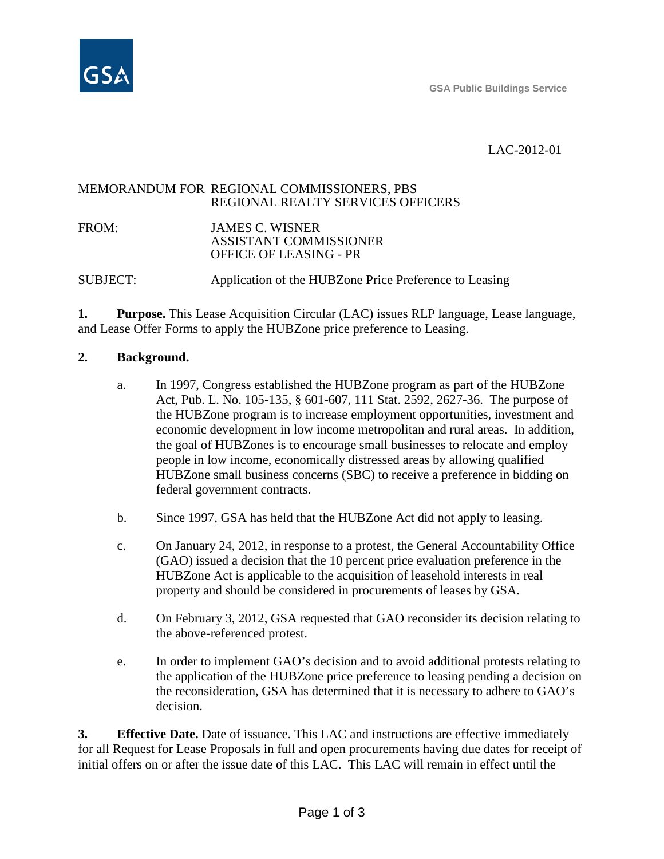

# LAC-2012-01

## MEMORANDUM FOR REGIONAL COMMISSIONERS, PBS REGIONAL REALTY SERVICES OFFICERS

FROM: JAMES C. WISNER ASSISTANT COMMISSIONER OFFICE OF LEASING - PR

SUBJECT: Application of the HUBZone Price Preference to Leasing

**1. Purpose.** This Lease Acquisition Circular (LAC) issues RLP language, Lease language, and Lease Offer Forms to apply the HUBZone price preference to Leasing.

# **2. Background.**

- a. In 1997, Congress established the HUBZone program as part of the HUBZone Act, Pub. L. No. 105-135, § 601-607, 111 Stat. 2592, 2627-36. The purpose of the HUBZone program is to increase employment opportunities, investment and economic development in low income metropolitan and rural areas. In addition, the goal of HUBZones is to encourage small businesses to relocate and employ people in low income, economically distressed areas by allowing qualified HUBZone small business concerns (SBC) to receive a preference in bidding on federal government contracts.
- b. Since 1997, GSA has held that the HUBZone Act did not apply to leasing.
- c. On January 24, 2012, in response to a protest, the General Accountability Office (GAO) issued a decision that the 10 percent price evaluation preference in the HUBZone Act is applicable to the acquisition of leasehold interests in real property and should be considered in procurements of leases by GSA.
- d. On February 3, 2012, GSA requested that GAO reconsider its decision relating to the above-referenced protest.
- e. In order to implement GAO's decision and to avoid additional protests relating to the application of the HUBZone price preference to leasing pending a decision on the reconsideration, GSA has determined that it is necessary to adhere to GAO's decision.

**3. Effective Date.** Date of issuance. This LAC and instructions are effective immediately for all Request for Lease Proposals in full and open procurements having due dates for receipt of initial offers on or after the issue date of this LAC. This LAC will remain in effect until the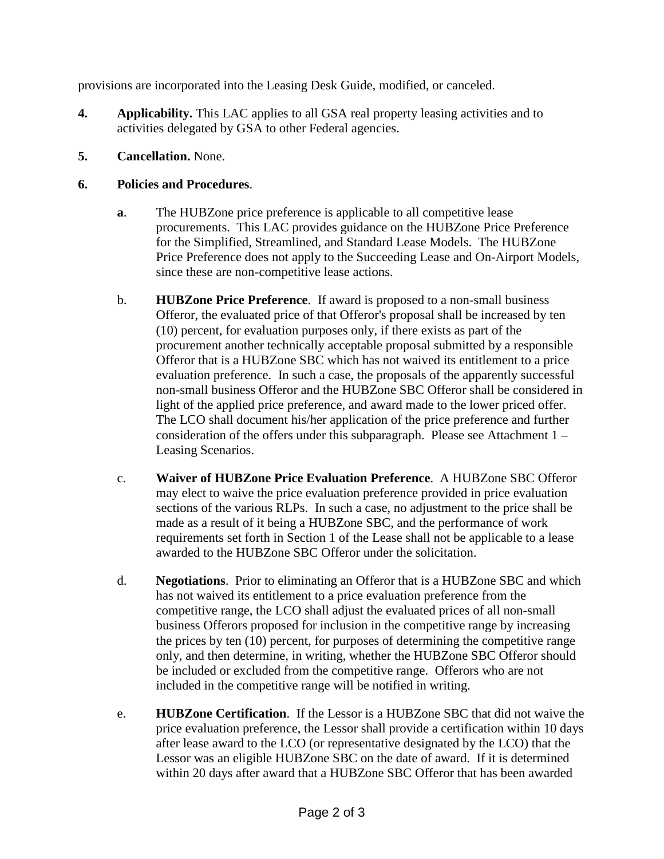provisions are incorporated into the Leasing Desk Guide, modified, or canceled.

- **4. Applicability.** This LAC applies to all GSA real property leasing activities and to activities delegated by GSA to other Federal agencies.
- **5. Cancellation.** None.

# **6. Policies and Procedures**.

- **a**. The HUBZone price preference is applicable to all competitive lease procurements. This LAC provides guidance on the HUBZone Price Preference for the Simplified, Streamlined, and Standard Lease Models. The HUBZone Price Preference does not apply to the Succeeding Lease and On-Airport Models, since these are non-competitive lease actions.
- b. **HUBZone Price Preference**. If award is proposed to a non-small business Offeror, the evaluated price of that Offeror's proposal shall be increased by ten (10) percent, for evaluation purposes only, if there exists as part of the procurement another technically acceptable proposal submitted by a responsible Offeror that is a HUBZone SBC which has not waived its entitlement to a price evaluation preference. In such a case, the proposals of the apparently successful non-small business Offeror and the HUBZone SBC Offeror shall be considered in light of the applied price preference, and award made to the lower priced offer. The LCO shall document his/her application of the price preference and further consideration of the offers under this subparagraph. Please see Attachment 1 – Leasing Scenarios.
- c. **Waiver of HUBZone Price Evaluation Preference**. A HUBZone SBC Offeror may elect to waive the price evaluation preference provided in price evaluation sections of the various RLPs. In such a case, no adjustment to the price shall be made as a result of it being a HUBZone SBC, and the performance of work requirements set forth in Section 1 of the Lease shall not be applicable to a lease awarded to the HUBZone SBC Offeror under the solicitation.
- d. **Negotiations**. Prior to eliminating an Offeror that is a HUBZone SBC and which has not waived its entitlement to a price evaluation preference from the competitive range, the LCO shall adjust the evaluated prices of all non-small business Offerors proposed for inclusion in the competitive range by increasing the prices by ten (10) percent, for purposes of determining the competitive range only, and then determine, in writing, whether the HUBZone SBC Offeror should be included or excluded from the competitive range. Offerors who are not included in the competitive range will be notified in writing.
- e. **HUBZone Certification**. If the Lessor is a HUBZone SBC that did not waive the price evaluation preference, the Lessor shall provide a certification within 10 days after lease award to the LCO (or representative designated by the LCO) that the Lessor was an eligible HUBZone SBC on the date of award. If it is determined within 20 days after award that a HUBZone SBC Offeror that has been awarded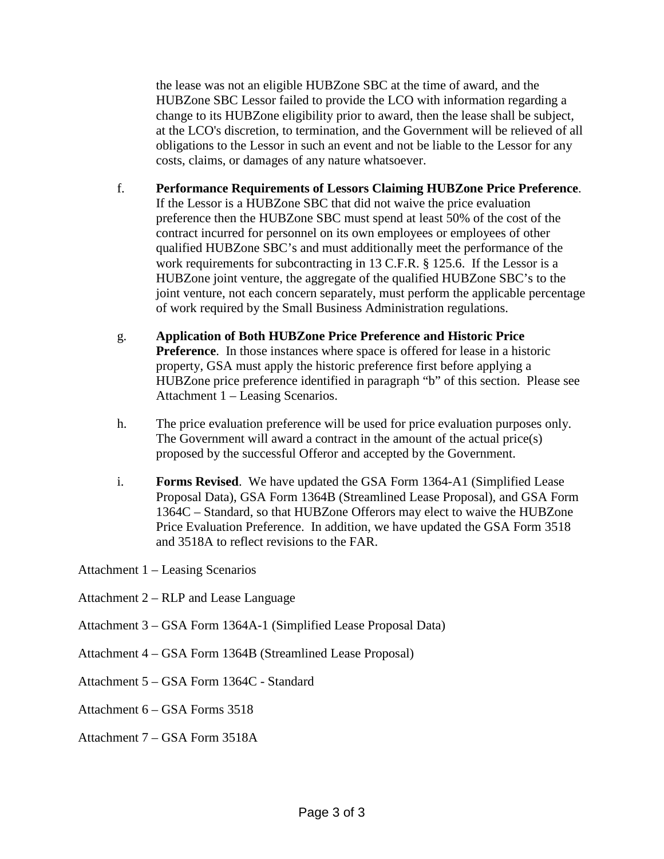the lease was not an eligible HUBZone SBC at the time of award, and the HUBZone SBC Lessor failed to provide the LCO with information regarding a change to its HUBZone eligibility prior to award, then the lease shall be subject, at the LCO's discretion, to termination, and the Government will be relieved of all obligations to the Lessor in such an event and not be liable to the Lessor for any costs, claims, or damages of any nature whatsoever.

- f. **Performance Requirements of Lessors Claiming HUBZone Price Preference**. If the Lessor is a HUBZone SBC that did not waive the price evaluation preference then the HUBZone SBC must spend at least 50% of the cost of the contract incurred for personnel on its own employees or employees of other qualified HUBZone SBC's and must additionally meet the performance of the work requirements for subcontracting in 13 C.F.R. § 125.6. If the Lessor is a HUBZone joint venture, the aggregate of the qualified HUBZone SBC's to the joint venture, not each concern separately, must perform the applicable percentage of work required by the Small Business Administration regulations.
- g. **Application of Both HUBZone Price Preference and Historic Price Preference**. In those instances where space is offered for lease in a historic property, GSA must apply the historic preference first before applying a HUBZone price preference identified in paragraph "b" of this section. Please see Attachment 1 – Leasing Scenarios.
- h. The price evaluation preference will be used for price evaluation purposes only. The Government will award a contract in the amount of the actual price(s) proposed by the successful Offeror and accepted by the Government.
- i. **Forms Revised**. We have updated the GSA Form 1364-A1 (Simplified Lease Proposal Data), GSA Form 1364B (Streamlined Lease Proposal), and GSA Form 1364C – Standard, so that HUBZone Offerors may elect to waive the HUBZone Price Evaluation Preference. In addition, we have updated the GSA Form 3518 and 3518A to reflect revisions to the FAR.
- Attachment 1 Leasing Scenarios
- Attachment 2 RLP and Lease Language
- Attachment 3 GSA Form 1364A-1 (Simplified Lease Proposal Data)
- Attachment 4 GSA Form 1364B (Streamlined Lease Proposal)
- Attachment 5 GSA Form 1364C Standard
- Attachment 6 GSA Forms 3518
- Attachment 7 GSA Form 3518A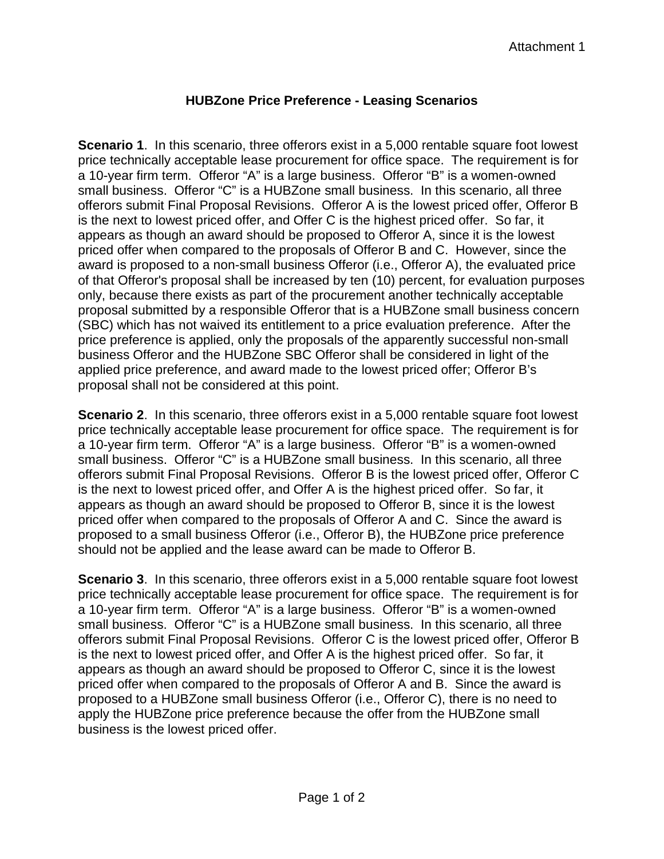# **HUBZone Price Preference - Leasing Scenarios**

**Scenario 1.** In this scenario, three offerors exist in a 5,000 rentable square foot lowest price technically acceptable lease procurement for office space. The requirement is for a 10-year firm term. Offeror "A" is a large business. Offeror "B" is a women-owned small business. Offeror "C" is a HUBZone small business. In this scenario, all three offerors submit Final Proposal Revisions. Offeror A is the lowest priced offer, Offeror B is the next to lowest priced offer, and Offer C is the highest priced offer. So far, it appears as though an award should be proposed to Offeror A, since it is the lowest priced offer when compared to the proposals of Offeror B and C. However, since the award is proposed to a non-small business Offeror (i.e., Offeror A), the evaluated price of that Offeror's proposal shall be increased by ten (10) percent, for evaluation purposes only, because there exists as part of the procurement another technically acceptable proposal submitted by a responsible Offeror that is a HUBZone small business concern (SBC) which has not waived its entitlement to a price evaluation preference. After the price preference is applied, only the proposals of the apparently successful non-small business Offeror and the HUBZone SBC Offeror shall be considered in light of the applied price preference, and award made to the lowest priced offer; Offeror B's proposal shall not be considered at this point.

**Scenario 2.** In this scenario, three offerors exist in a 5,000 rentable square foot lowest price technically acceptable lease procurement for office space. The requirement is for a 10-year firm term. Offeror "A" is a large business. Offeror "B" is a women-owned small business. Offeror "C" is a HUBZone small business. In this scenario, all three offerors submit Final Proposal Revisions. Offeror B is the lowest priced offer, Offeror C is the next to lowest priced offer, and Offer A is the highest priced offer. So far, it appears as though an award should be proposed to Offeror B, since it is the lowest priced offer when compared to the proposals of Offeror A and C. Since the award is proposed to a small business Offeror (i.e., Offeror B), the HUBZone price preference should not be applied and the lease award can be made to Offeror B.

**Scenario 3**. In this scenario, three offerors exist in a 5,000 rentable square foot lowest price technically acceptable lease procurement for office space. The requirement is for a 10-year firm term. Offeror "A" is a large business. Offeror "B" is a women-owned small business. Offeror "C" is a HUBZone small business. In this scenario, all three offerors submit Final Proposal Revisions. Offeror C is the lowest priced offer, Offeror B is the next to lowest priced offer, and Offer A is the highest priced offer. So far, it appears as though an award should be proposed to Offeror C, since it is the lowest priced offer when compared to the proposals of Offeror A and B. Since the award is proposed to a HUBZone small business Offeror (i.e., Offeror C), there is no need to apply the HUBZone price preference because the offer from the HUBZone small business is the lowest priced offer.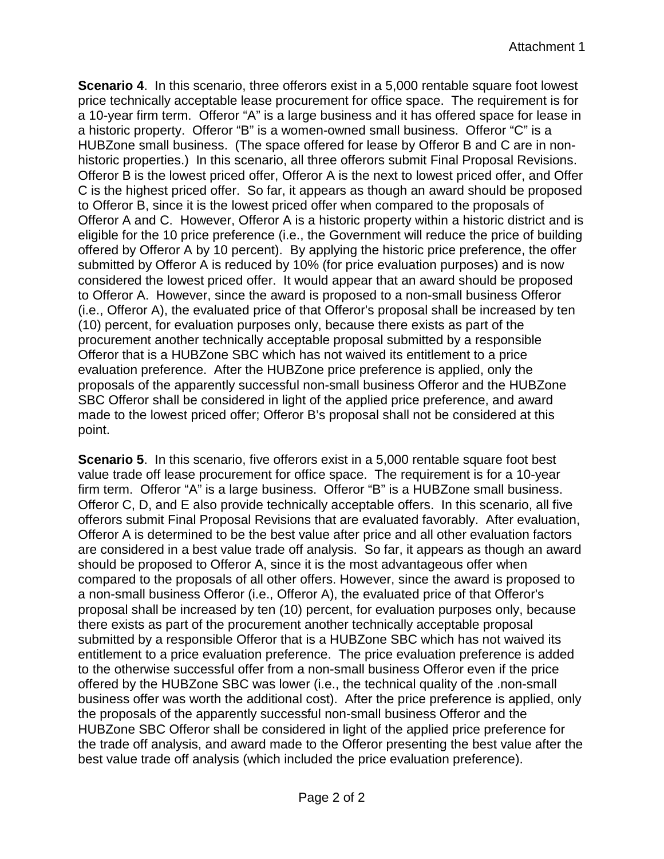**Scenario 4.** In this scenario, three offerors exist in a 5,000 rentable square foot lowest price technically acceptable lease procurement for office space. The requirement is for a 10-year firm term. Offeror "A" is a large business and it has offered space for lease in a historic property. Offeror "B" is a women-owned small business. Offeror "C" is a HUBZone small business. (The space offered for lease by Offeror B and C are in nonhistoric properties.) In this scenario, all three offerors submit Final Proposal Revisions. Offeror B is the lowest priced offer, Offeror A is the next to lowest priced offer, and Offer C is the highest priced offer. So far, it appears as though an award should be proposed to Offeror B, since it is the lowest priced offer when compared to the proposals of Offeror A and C. However, Offeror A is a historic property within a historic district and is eligible for the 10 price preference (i.e., the Government will reduce the price of building offered by Offeror A by 10 percent). By applying the historic price preference, the offer submitted by Offeror A is reduced by 10% (for price evaluation purposes) and is now considered the lowest priced offer. It would appear that an award should be proposed to Offeror A. However, since the award is proposed to a non-small business Offeror (i.e., Offeror A), the evaluated price of that Offeror's proposal shall be increased by ten (10) percent, for evaluation purposes only, because there exists as part of the procurement another technically acceptable proposal submitted by a responsible Offeror that is a HUBZone SBC which has not waived its entitlement to a price evaluation preference. After the HUBZone price preference is applied, only the proposals of the apparently successful non-small business Offeror and the HUBZone SBC Offeror shall be considered in light of the applied price preference, and award made to the lowest priced offer; Offeror B's proposal shall not be considered at this point.

**Scenario 5**. In this scenario, five offerors exist in a 5,000 rentable square foot best value trade off lease procurement for office space. The requirement is for a 10-year firm term. Offeror "A" is a large business. Offeror "B" is a HUBZone small business. Offeror C, D, and E also provide technically acceptable offers. In this scenario, all five offerors submit Final Proposal Revisions that are evaluated favorably. After evaluation, Offeror A is determined to be the best value after price and all other evaluation factors are considered in a best value trade off analysis. So far, it appears as though an award should be proposed to Offeror A, since it is the most advantageous offer when compared to the proposals of all other offers. However, since the award is proposed to a non-small business Offeror (i.e., Offeror A), the evaluated price of that Offeror's proposal shall be increased by ten (10) percent, for evaluation purposes only, because there exists as part of the procurement another technically acceptable proposal submitted by a responsible Offeror that is a HUBZone SBC which has not waived its entitlement to a price evaluation preference. The price evaluation preference is added to the otherwise successful offer from a non-small business Offeror even if the price offered by the HUBZone SBC was lower (i.e., the technical quality of the .non-small business offer was worth the additional cost). After the price preference is applied, only the proposals of the apparently successful non-small business Offeror and the HUBZone SBC Offeror shall be considered in light of the applied price preference for the trade off analysis, and award made to the Offeror presenting the best value after the best value trade off analysis (which included the price evaluation preference).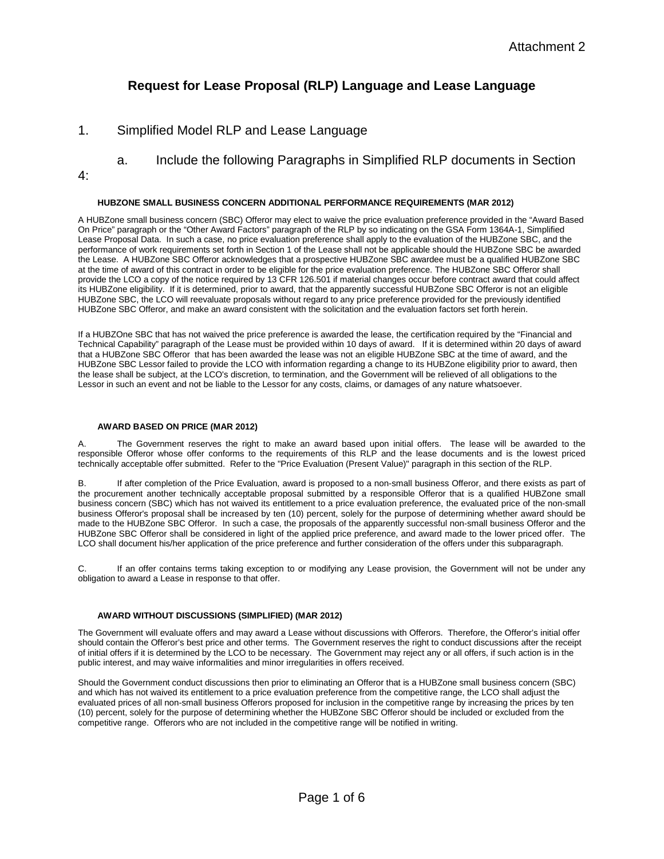# **Request for Lease Proposal (RLP) Language and Lease Language**

## 1. Simplified Model RLP and Lease Language

- a. Include the following Paragraphs in Simplified RLP documents in Section
- 4:

### **HUBZONE SMALL BUSINESS CONCERN ADDITIONAL PERFORMANCE REQUIREMENTS (MAR 2012)**

A HUBZone small business concern (SBC) Offeror may elect to waive the price evaluation preference provided in the "Award Based On Price" paragraph or the "Other Award Factors" paragraph of the RLP by so indicating on the GSA Form 1364A-1, Simplified Lease Proposal Data. In such a case, no price evaluation preference shall apply to the evaluation of the HUBZone SBC, and the performance of work requirements set forth in Section 1 of the Lease shall not be applicable should the HUBZone SBC be awarded the Lease. A HUBZone SBC Offeror acknowledges that a prospective HUBZone SBC awardee must be a qualified HUBZone SBC at the time of award of this contract in order to be eligible for the price evaluation preference. The HUBZone SBC Offeror shall provide the LCO a copy of the notice required by 13 CFR 126.501 if material changes occur before contract award that could affect its HUBZone eligibility. If it is determined, prior to award, that the apparently successful HUBZone SBC Offeror is not an eligible HUBZone SBC, the LCO will reevaluate proposals without regard to any price preference provided for the previously identified HUBZone SBC Offeror, and make an award consistent with the solicitation and the evaluation factors set forth herein.

If a HUBZOne SBC that has not waived the price preference is awarded the lease, the certification required by the "Financial and Technical Capability" paragraph of the Lease must be provided within 10 days of award. If it is determined within 20 days of award that a HUBZone SBC Offeror that has been awarded the lease was not an eligible HUBZone SBC at the time of award, and the HUBZone SBC Lessor failed to provide the LCO with information regarding a change to its HUBZone eligibility prior to award, then the lease shall be subject, at the LCO's discretion, to termination, and the Government will be relieved of all obligations to the Lessor in such an event and not be liable to the Lessor for any costs, claims, or damages of any nature whatsoever.

#### **AWARD BASED ON PRICE (MAR 2012)**

A. The Government reserves the right to make an award based upon initial offers. The lease will be awarded to the responsible Offeror whose offer conforms to the requirements of this RLP and the lease documents and is the lowest priced technically acceptable offer submitted. Refer to the "Price Evaluation (Present Value)" paragraph in this section of the RLP.

B. If after completion of the Price Evaluation, award is proposed to a non-small business Offeror, and there exists as part of the procurement another technically acceptable proposal submitted by a responsible Offeror that is a qualified HUBZone small business concern (SBC) which has not waived its entitlement to a price evaluation preference, the evaluated price of the non-small business Offeror's proposal shall be increased by ten (10) percent, solely for the purpose of determining whether award should be made to the HUBZone SBC Offeror. In such a case, the proposals of the apparently successful non-small business Offeror and the HUBZone SBC Offeror shall be considered in light of the applied price preference, and award made to the lower priced offer. The LCO shall document his/her application of the price preference and further consideration of the offers under this subparagraph.

C. If an offer contains terms taking exception to or modifying any Lease provision, the Government will not be under any obligation to award a Lease in response to that offer.

### **AWARD WITHOUT DISCUSSIONS (SIMPLIFIED) (MAR 2012)**

The Government will evaluate offers and may award a Lease without discussions with Offerors. Therefore, the Offeror's initial offer should contain the Offeror's best price and other terms. The Government reserves the right to conduct discussions after the receipt of initial offers if it is determined by the LCO to be necessary. The Government may reject any or all offers, if such action is in the public interest, and may waive informalities and minor irregularities in offers received.

Should the Government conduct discussions then prior to eliminating an Offeror that is a HUBZone small business concern (SBC) and which has not waived its entitlement to a price evaluation preference from the competitive range, the LCO shall adjust the evaluated prices of all non-small business Offerors proposed for inclusion in the competitive range by increasing the prices by ten (10) percent, solely for the purpose of determining whether the HUBZone SBC Offeror should be included or excluded from the competitive range. Offerors who are not included in the competitive range will be notified in writing.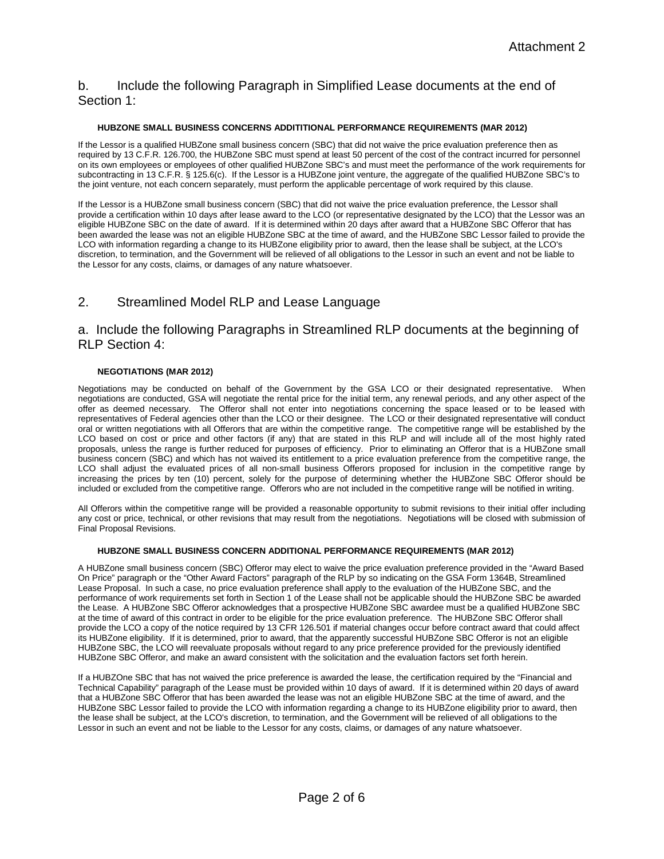## b. Include the following Paragraph in Simplified Lease documents at the end of Section 1:

### **HUBZONE SMALL BUSINESS CONCERNS ADDITITIONAL PERFORMANCE REQUIREMENTS (MAR 2012)**

If the Lessor is a qualified HUBZone small business concern (SBC) that did not waive the price evaluation preference then as required by 13 C.F.R. 126.700, the HUBZone SBC must spend at least 50 percent of the cost of the contract incurred for personnel on its own employees or employees of other qualified HUBZone SBC's and must meet the performance of the work requirements for subcontracting in 13 C.F.R. § 125.6(c). If the Lessor is a HUBZone joint venture, the aggregate of the qualified HUBZone SBC's to the joint venture, not each concern separately, must perform the applicable percentage of work required by this clause.

If the Lessor is a HUBZone small business concern (SBC) that did not waive the price evaluation preference, the Lessor shall provide a certification within 10 days after lease award to the LCO (or representative designated by the LCO) that the Lessor was an eligible HUBZone SBC on the date of award. If it is determined within 20 days after award that a HUBZone SBC Offeror that has been awarded the lease was not an eligible HUBZone SBC at the time of award, and the HUBZone SBC Lessor failed to provide the LCO with information regarding a change to its HUBZone eligibility prior to award, then the lease shall be subject, at the LCO's discretion, to termination, and the Government will be relieved of all obligations to the Lessor in such an event and not be liable to the Lessor for any costs, claims, or damages of any nature whatsoever.

# 2. Streamlined Model RLP and Lease Language

## a. Include the following Paragraphs in Streamlined RLP documents at the beginning of RLP Section 4:

### **NEGOTIATIONS (MAR 2012)**

Negotiations may be conducted on behalf of the Government by the GSA LCO or their designated representative. When negotiations are conducted, GSA will negotiate the rental price for the initial term, any renewal periods, and any other aspect of the offer as deemed necessary. The Offeror shall not enter into negotiations concerning the space leased or to be leased with representatives of Federal agencies other than the LCO or their designee. The LCO or their designated representative will conduct oral or written negotiations with all Offerors that are within the competitive range. The competitive range will be established by the LCO based on cost or price and other factors (if any) that are stated in this RLP and will include all of the most highly rated proposals, unless the range is further reduced for purposes of efficiency. Prior to eliminating an Offeror that is a HUBZone small business concern (SBC) and which has not waived its entitlement to a price evaluation preference from the competitive range, the LCO shall adjust the evaluated prices of all non-small business Offerors proposed for inclusion in the competitive range by increasing the prices by ten (10) percent, solely for the purpose of determining whether the HUBZone SBC Offeror should be included or excluded from the competitive range. Offerors who are not included in the competitive range will be notified in writing.

All Offerors within the competitive range will be provided a reasonable opportunity to submit revisions to their initial offer including any cost or price, technical, or other revisions that may result from the negotiations. Negotiations will be closed with submission of Final Proposal Revisions.

### **HUBZONE SMALL BUSINESS CONCERN ADDITIONAL PERFORMANCE REQUIREMENTS (MAR 2012)**

A HUBZone small business concern (SBC) Offeror may elect to waive the price evaluation preference provided in the "Award Based On Price" paragraph or the "Other Award Factors" paragraph of the RLP by so indicating on the GSA Form 1364B, Streamlined Lease Proposal. In such a case, no price evaluation preference shall apply to the evaluation of the HUBZone SBC, and the performance of work requirements set forth in Section 1 of the Lease shall not be applicable should the HUBZone SBC be awarded the Lease. A HUBZone SBC Offeror acknowledges that a prospective HUBZone SBC awardee must be a qualified HUBZone SBC at the time of award of this contract in order to be eligible for the price evaluation preference. The HUBZone SBC Offeror shall provide the LCO a copy of the notice required by 13 CFR 126.501 if material changes occur before contract award that could affect its HUBZone eligibility. If it is determined, prior to award, that the apparently successful HUBZone SBC Offeror is not an eligible HUBZone SBC, the LCO will reevaluate proposals without regard to any price preference provided for the previously identified HUBZone SBC Offeror, and make an award consistent with the solicitation and the evaluation factors set forth herein.

If a HUBZOne SBC that has not waived the price preference is awarded the lease, the certification required by the "Financial and Technical Capability" paragraph of the Lease must be provided within 10 days of award. If it is determined within 20 days of award that a HUBZone SBC Offeror that has been awarded the lease was not an eligible HUBZone SBC at the time of award, and the HUBZone SBC Lessor failed to provide the LCO with information regarding a change to its HUBZone eligibility prior to award, then the lease shall be subject, at the LCO's discretion, to termination, and the Government will be relieved of all obligations to the Lessor in such an event and not be liable to the Lessor for any costs, claims, or damages of any nature whatsoever.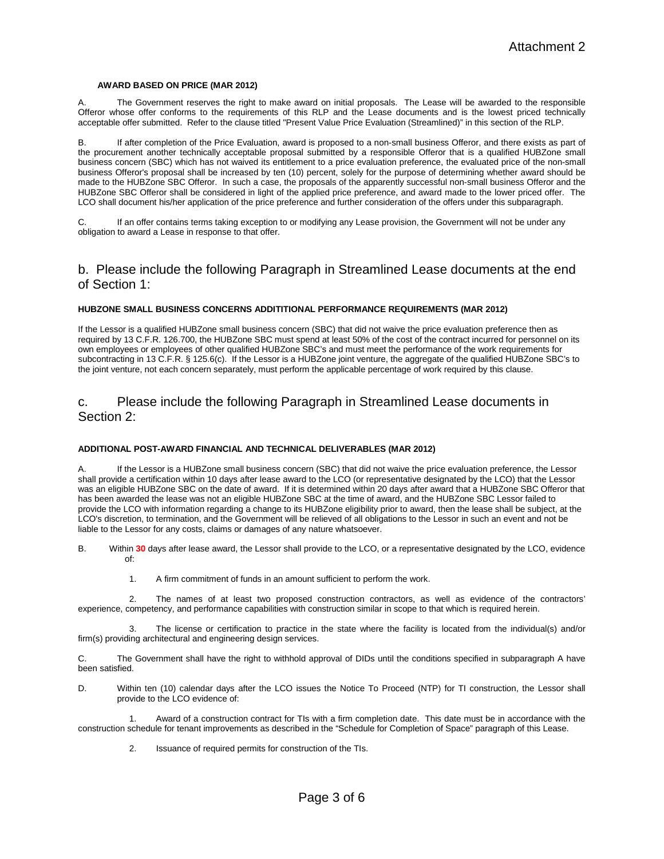#### **AWARD BASED ON PRICE (MAR 2012)**

A. The Government reserves the right to make award on initial proposals. The Lease will be awarded to the responsible Offeror whose offer conforms to the requirements of this RLP and the Lease documents and is the lowest priced technically acceptable offer submitted. Refer to the clause titled "Present Value Price Evaluation (Streamlined)" in this section of the RLP.

B. If after completion of the Price Evaluation, award is proposed to a non-small business Offeror, and there exists as part of the procurement another technically acceptable proposal submitted by a responsible Offeror that is a qualified HUBZone small business concern (SBC) which has not waived its entitlement to a price evaluation preference, the evaluated price of the non-small business Offeror's proposal shall be increased by ten (10) percent, solely for the purpose of determining whether award should be made to the HUBZone SBC Offeror. In such a case, the proposals of the apparently successful non-small business Offeror and the HUBZone SBC Offeror shall be considered in light of the applied price preference, and award made to the lower priced offer. The LCO shall document his/her application of the price preference and further consideration of the offers under this subparagraph.

C. If an offer contains terms taking exception to or modifying any Lease provision, the Government will not be under any obligation to award a Lease in response to that offer.

### b. Please include the following Paragraph in Streamlined Lease documents at the end of Section 1:

#### **HUBZONE SMALL BUSINESS CONCERNS ADDITITIONAL PERFORMANCE REQUIREMENTS (MAR 2012)**

If the Lessor is a qualified HUBZone small business concern (SBC) that did not waive the price evaluation preference then as required by 13 C.F.R. 126.700, the HUBZone SBC must spend at least 50% of the cost of the contract incurred for personnel on its own employees or employees of other qualified HUBZone SBC's and must meet the performance of the work requirements for subcontracting in 13 C.F.R. § 125.6(c). If the Lessor is a HUBZone joint venture, the aggregate of the qualified HUBZone SBC's to the joint venture, not each concern separately, must perform the applicable percentage of work required by this clause.

## c. Please include the following Paragraph in Streamlined Lease documents in Section 2:

#### **ADDITIONAL POST-AWARD FINANCIAL AND TECHNICAL DELIVERABLES (MAR 2012)**

A. If the Lessor is a HUBZone small business concern (SBC) that did not waive the price evaluation preference, the Lessor shall provide a certification within 10 days after lease award to the LCO (or representative designated by the LCO) that the Lessor was an eligible HUBZone SBC on the date of award. If it is determined within 20 days after award that a HUBZone SBC Offeror that has been awarded the lease was not an eligible HUBZone SBC at the time of award, and the HUBZone SBC Lessor failed to provide the LCO with information regarding a change to its HUBZone eligibility prior to award, then the lease shall be subject, at the LCO's discretion, to termination, and the Government will be relieved of all obligations to the Lessor in such an event and not be liable to the Lessor for any costs, claims or damages of any nature whatsoever.

- B. Within **30** days after lease award, the Lessor shall provide to the LCO, or a representative designated by the LCO, evidence of:
	- 1. A firm commitment of funds in an amount sufficient to perform the work.

2. The names of at least two proposed construction contractors, as well as evidence of the contractors' experience, competency, and performance capabilities with construction similar in scope to that which is required herein.

3. The license or certification to practice in the state where the facility is located from the individual(s) and/or firm(s) providing architectural and engineering design services.

C. The Government shall have the right to withhold approval of DIDs until the conditions specified in subparagraph A have been satisfied.

D. Within ten (10) calendar days after the LCO issues the Notice To Proceed (NTP) for TI construction, the Lessor shall provide to the LCO evidence of:

Award of a construction contract for TIs with a firm completion date. This date must be in accordance with the construction schedule for tenant improvements as described in the "Schedule for Completion of Space" paragraph of this Lease.

2. Issuance of required permits for construction of the TIs.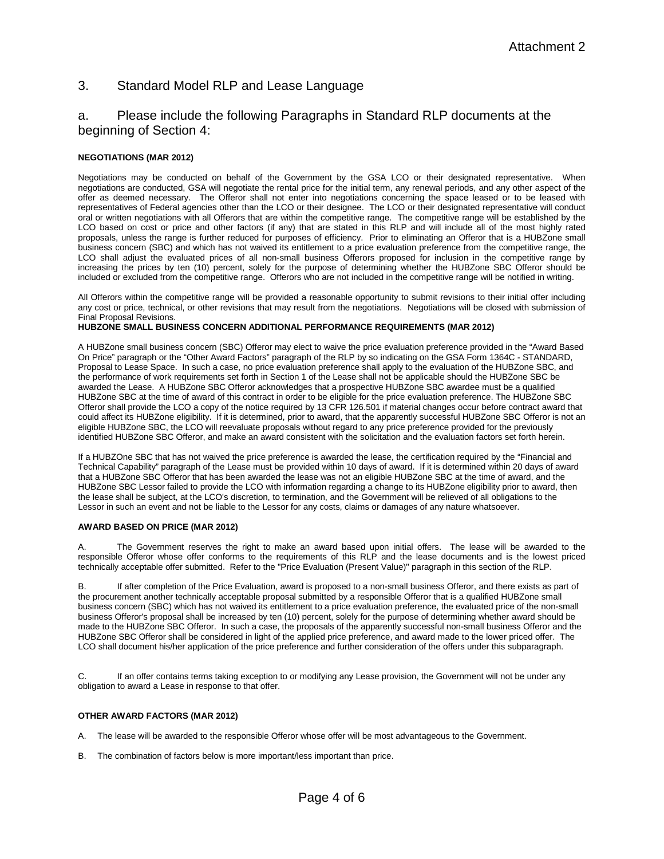## 3. Standard Model RLP and Lease Language

## a. Please include the following Paragraphs in Standard RLP documents at the beginning of Section 4:

### **NEGOTIATIONS (MAR 2012)**

Negotiations may be conducted on behalf of the Government by the GSA LCO or their designated representative. When negotiations are conducted, GSA will negotiate the rental price for the initial term, any renewal periods, and any other aspect of the offer as deemed necessary. The Offeror shall not enter into negotiations concerning the space leased or to be leased with representatives of Federal agencies other than the LCO or their designee. The LCO or their designated representative will conduct oral or written negotiations with all Offerors that are within the competitive range. The competitive range will be established by the LCO based on cost or price and other factors (if any) that are stated in this RLP and will include all of the most highly rated proposals, unless the range is further reduced for purposes of efficiency. Prior to eliminating an Offeror that is a HUBZone small business concern (SBC) and which has not waived its entitlement to a price evaluation preference from the competitive range, the LCO shall adjust the evaluated prices of all non-small business Offerors proposed for inclusion in the competitive range by increasing the prices by ten (10) percent, solely for the purpose of determining whether the HUBZone SBC Offeror should be included or excluded from the competitive range. Offerors who are not included in the competitive range will be notified in writing.

All Offerors within the competitive range will be provided a reasonable opportunity to submit revisions to their initial offer including any cost or price, technical, or other revisions that may result from the negotiations. Negotiations will be closed with submission of Final Proposal Revisions.

### **HUBZONE SMALL BUSINESS CONCERN ADDITIONAL PERFORMANCE REQUIREMENTS (MAR 2012)**

A HUBZone small business concern (SBC) Offeror may elect to waive the price evaluation preference provided in the "Award Based On Price" paragraph or the "Other Award Factors" paragraph of the RLP by so indicating on the GSA Form 1364C - STANDARD, Proposal to Lease Space. In such a case, no price evaluation preference shall apply to the evaluation of the HUBZone SBC, and the performance of work requirements set forth in Section 1 of the Lease shall not be applicable should the HUBZone SBC be awarded the Lease. A HUBZone SBC Offeror acknowledges that a prospective HUBZone SBC awardee must be a qualified HUBZone SBC at the time of award of this contract in order to be eligible for the price evaluation preference. The HUBZone SBC Offeror shall provide the LCO a copy of the notice required by 13 CFR 126.501 if material changes occur before contract award that could affect its HUBZone eligibility. If it is determined, prior to award, that the apparently successful HUBZone SBC Offeror is not an eligible HUBZone SBC, the LCO will reevaluate proposals without regard to any price preference provided for the previously identified HUBZone SBC Offeror, and make an award consistent with the solicitation and the evaluation factors set forth herein.

If a HUBZOne SBC that has not waived the price preference is awarded the lease, the certification required by the "Financial and Technical Capability" paragraph of the Lease must be provided within 10 days of award. If it is determined within 20 days of award that a HUBZone SBC Offeror that has been awarded the lease was not an eligible HUBZone SBC at the time of award, and the HUBZone SBC Lessor failed to provide the LCO with information regarding a change to its HUBZone eligibility prior to award, then the lease shall be subject, at the LCO's discretion, to termination, and the Government will be relieved of all obligations to the Lessor in such an event and not be liable to the Lessor for any costs, claims or damages of any nature whatsoever.

#### **AWARD BASED ON PRICE (MAR 2012)**

The Government reserves the right to make an award based upon initial offers. The lease will be awarded to the responsible Offeror whose offer conforms to the requirements of this RLP and the lease documents and is the lowest priced technically acceptable offer submitted. Refer to the "Price Evaluation (Present Value)" paragraph in this section of the RLP.

B. If after completion of the Price Evaluation, award is proposed to a non-small business Offeror, and there exists as part of the procurement another technically acceptable proposal submitted by a responsible Offeror that is a qualified HUBZone small business concern (SBC) which has not waived its entitlement to a price evaluation preference, the evaluated price of the non-small business Offeror's proposal shall be increased by ten (10) percent, solely for the purpose of determining whether award should be made to the HUBZone SBC Offeror. In such a case, the proposals of the apparently successful non-small business Offeror and the HUBZone SBC Offeror shall be considered in light of the applied price preference, and award made to the lower priced offer. The LCO shall document his/her application of the price preference and further consideration of the offers under this subparagraph.

C. If an offer contains terms taking exception to or modifying any Lease provision, the Government will not be under any obligation to award a Lease in response to that offer.

### **OTHER AWARD FACTORS (MAR 2012)**

A. The lease will be awarded to the responsible Offeror whose offer will be most advantageous to the Government.

B. The combination of factors below is more important/less important than price.